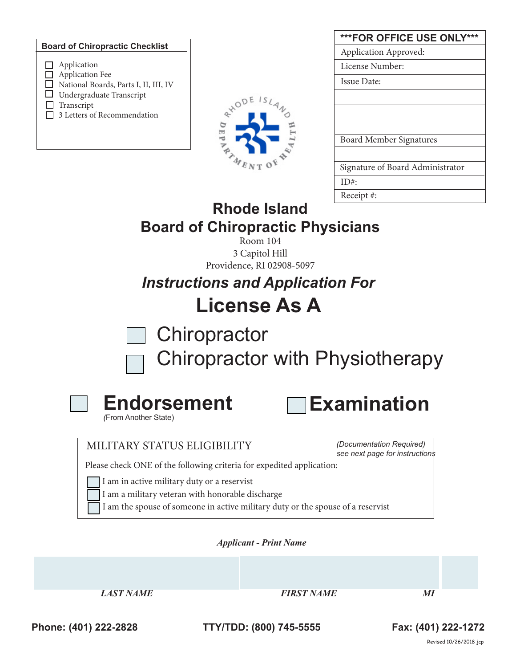#### **Board of Chiropractic Checklist**



| ***FOR OFFICE USE ONLY***        |
|----------------------------------|
| Application Approved:            |
| License Number:                  |
| Issue Date:                      |
|                                  |
|                                  |
|                                  |
| <b>Board Member Signatures</b>   |
|                                  |
| Signature of Board Administrator |
| ID#                              |
| Receipt#:                        |

# **Rhode Island Board of Chiropractic Physicians**

Room 104 3 Capitol Hill Providence, RI 02908-5097

*Instructions and Application For* **License As A**

**Chiropractor** 

Chiropractor with Physiotherapy



**Examination**

*(*From Another State)

# MILITARY STATUS ELIGIBILITY

*(Documentation Required) see next page for instructions*

Please check ONE of the following criteria for expedited application:

I am in active military duty or a reservist

- I am a military veteran with honorable discharge
- I am the spouse of someone in active military duty or the spouse of a reservist

*Applicant - Print Name* 

*EIRST NAME EIRST NAME MI* 

**Phone: (401) 222-2828 TTY/TDD: (800) 745-5555 Fax: (401) 222-1272**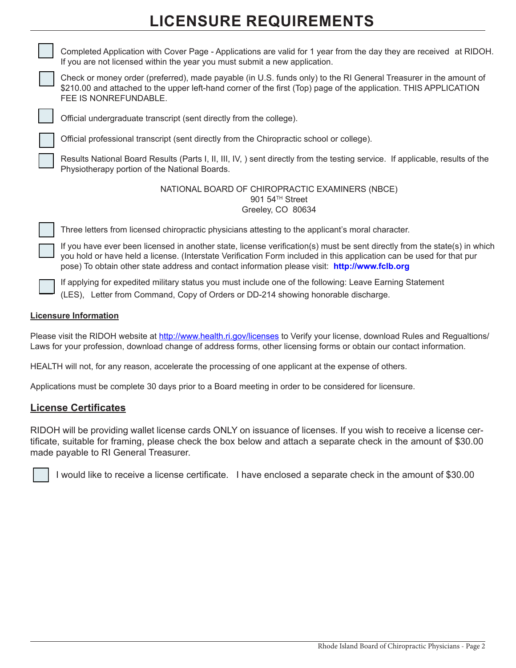# **LICENSURE REQUIREMENTS**



Completed Application with Cover Page - Applications are valid for 1 year from the day they are received at RIDOH. If you are not licensed within the year you must submit a new application.



Check or money order (preferred), made payable (in U.S. funds only) to the RI General Treasurer in the amount of \$210.00 and attached to the upper left-hand corner of the first (Top) page of the application. THIS APPLICATION FEE IS NONREFUNDABLE.



Official undergraduate transcript (sent directly from the college).

Official professional transcript (sent directly from the Chiropractic school or college).

Results National Board Results (Parts I, II, III, IV, ) sent directly from the testing service. If applicable, results of the Physiotherapy portion of the National Boards.

> NATIONAL BOARD OF CHIROPRACTIC EXAMINERS (NBCE) 901 54<sup>TH</sup> Street Greeley, CO 80634

Three letters from licensed chiropractic physicians attesting to the applicant's moral character.

If you have ever been licensed in another state, license verification(s) must be sent directly from the state(s) in which you hold or have held a license. (Interstate Verification Form included in this application can be used for that pur pose) To obtain other state address and contact information please visit: **http://www.fclb.org**

If applying for expedited military status you must include one of the following: Leave Earning Statement (LES), Letter from Command, Copy of Orders or DD-214 showing honorable discharge.

### **Licensure Information**

Please visit the RIDOH website at http://www.health.ri.gov/licenses to Verify your license, download Rules and Regualtions/ Laws for your profession, download change of address forms, other licensing forms or obtain our contact information.

HEALTH will not, for any reason, accelerate the processing of one applicant at the expense of others.

Applications must be complete 30 days prior to a Board meeting in order to be considered for licensure.

## **License Certificates**

RIDOH will be providing wallet license cards ONLY on issuance of licenses. If you wish to receive a license certificate, suitable for framing, please check the box below and attach a separate check in the amount of \$30.00 made payable to RI General Treasurer.

I would like to receive a license certificate. I have enclosed a separate check in the amount of \$30.00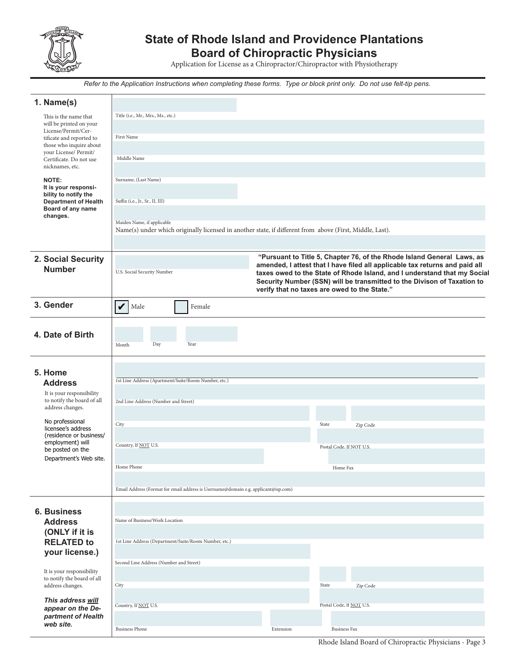

# **State of Rhode Island and Providence Plantations Board of Chiropractic Physicians**

Application for License as a Chiropractor/Chiropractor with Physiotherapy

*Refer to the Application Instructions when completing these forms. Type or block print only. Do not use felt-tip pens.*

| 1. Name(s)                                              |                                                                                                                                        |           |                                                                                                                                                         |  |  |  |
|---------------------------------------------------------|----------------------------------------------------------------------------------------------------------------------------------------|-----------|---------------------------------------------------------------------------------------------------------------------------------------------------------|--|--|--|
| This is the name that                                   | Title (i.e., Mr., Mrs., Ms., etc.)                                                                                                     |           |                                                                                                                                                         |  |  |  |
| will be printed on your<br>License/Permit/Cer-          |                                                                                                                                        |           |                                                                                                                                                         |  |  |  |
| tificate and reported to                                | First Name                                                                                                                             |           |                                                                                                                                                         |  |  |  |
| those who inquire about<br>your License/ Permit/        |                                                                                                                                        |           |                                                                                                                                                         |  |  |  |
| Certificate. Do not use                                 | Middle Name                                                                                                                            |           |                                                                                                                                                         |  |  |  |
| nicknames, etc.                                         |                                                                                                                                        |           |                                                                                                                                                         |  |  |  |
| NOTE:                                                   | Surname, (Last Name)                                                                                                                   |           |                                                                                                                                                         |  |  |  |
| It is your responsi-<br>bility to notify the            |                                                                                                                                        |           |                                                                                                                                                         |  |  |  |
| <b>Department of Health</b><br>Board of any name        | Suffix (i.e., Jr., Sr., II, III)                                                                                                       |           |                                                                                                                                                         |  |  |  |
| changes.                                                |                                                                                                                                        |           |                                                                                                                                                         |  |  |  |
|                                                         | Maiden Name, if applicable<br>Name(s) under which originally licensed in another state, if different from above (First, Middle, Last). |           |                                                                                                                                                         |  |  |  |
|                                                         |                                                                                                                                        |           |                                                                                                                                                         |  |  |  |
|                                                         |                                                                                                                                        |           |                                                                                                                                                         |  |  |  |
| 2. Social Security                                      |                                                                                                                                        |           | "Pursuant to Title 5, Chapter 76, of the Rhode Island General Laws, as                                                                                  |  |  |  |
| <b>Number</b>                                           | U.S. Social Security Number                                                                                                            |           | amended, I attest that I have filed all applicable tax returns and paid all<br>taxes owed to the State of Rhode Island, and I understand that my Social |  |  |  |
|                                                         |                                                                                                                                        |           | Security Number (SSN) will be transmitted to the Divison of Taxation to                                                                                 |  |  |  |
|                                                         |                                                                                                                                        |           | verify that no taxes are owed to the State."                                                                                                            |  |  |  |
| 3. Gender                                               | V<br>Male<br>Female                                                                                                                    |           |                                                                                                                                                         |  |  |  |
|                                                         |                                                                                                                                        |           |                                                                                                                                                         |  |  |  |
|                                                         |                                                                                                                                        |           |                                                                                                                                                         |  |  |  |
| 4. Date of Birth                                        | Day<br>Year<br>Month                                                                                                                   |           |                                                                                                                                                         |  |  |  |
|                                                         |                                                                                                                                        |           |                                                                                                                                                         |  |  |  |
|                                                         |                                                                                                                                        |           |                                                                                                                                                         |  |  |  |
| 5. Home                                                 |                                                                                                                                        |           |                                                                                                                                                         |  |  |  |
| <b>Address</b>                                          | 1st Line Address (Apartment/Suite/Room Number, etc.)                                                                                   |           |                                                                                                                                                         |  |  |  |
| It is your responsibility<br>to notify the board of all | 2nd Line Address (Number and Street)                                                                                                   |           |                                                                                                                                                         |  |  |  |
| address changes.                                        |                                                                                                                                        |           |                                                                                                                                                         |  |  |  |
| No professional                                         |                                                                                                                                        |           |                                                                                                                                                         |  |  |  |
| licensee's address                                      | City                                                                                                                                   |           | State<br>Zip Code                                                                                                                                       |  |  |  |
| (residence or business/<br>employment) will             |                                                                                                                                        |           |                                                                                                                                                         |  |  |  |
| be posted on the                                        | Country, If <b>NOT</b> U.S.<br>Postal Code. If NOT U.S.                                                                                |           |                                                                                                                                                         |  |  |  |
| Department's Web site.                                  | Home Phone                                                                                                                             |           | Home Fax                                                                                                                                                |  |  |  |
|                                                         |                                                                                                                                        |           |                                                                                                                                                         |  |  |  |
|                                                         | Email Address (Format for email address is Username@domain e.g. applicant@isp.com)                                                     |           |                                                                                                                                                         |  |  |  |
|                                                         |                                                                                                                                        |           |                                                                                                                                                         |  |  |  |
| <b>6. Business</b>                                      |                                                                                                                                        |           |                                                                                                                                                         |  |  |  |
| <b>Address</b>                                          | Name of Business/Work Location                                                                                                         |           |                                                                                                                                                         |  |  |  |
| (ONLY if it is                                          |                                                                                                                                        |           |                                                                                                                                                         |  |  |  |
| <b>RELATED to</b>                                       | 1st Line Address (Department/Suite/Room Number, etc.)                                                                                  |           |                                                                                                                                                         |  |  |  |
| your license.)                                          |                                                                                                                                        |           |                                                                                                                                                         |  |  |  |
|                                                         | Second Line Address (Number and Street)                                                                                                |           |                                                                                                                                                         |  |  |  |
| It is your responsibility<br>to notify the board of all |                                                                                                                                        |           |                                                                                                                                                         |  |  |  |
| address changes.                                        | City                                                                                                                                   |           | State<br>Zip Code                                                                                                                                       |  |  |  |
| This address will                                       |                                                                                                                                        |           |                                                                                                                                                         |  |  |  |
| appear on the De-                                       | Country, If NOT U.S.                                                                                                                   |           | Postal Code, If NOT U.S.                                                                                                                                |  |  |  |
| partment of Health<br>web site.                         |                                                                                                                                        |           |                                                                                                                                                         |  |  |  |
|                                                         | <b>Business Phone</b>                                                                                                                  | Extension | <b>Business Fax</b>                                                                                                                                     |  |  |  |

Rhode Island Board of Chiropractic Physicians - Page 3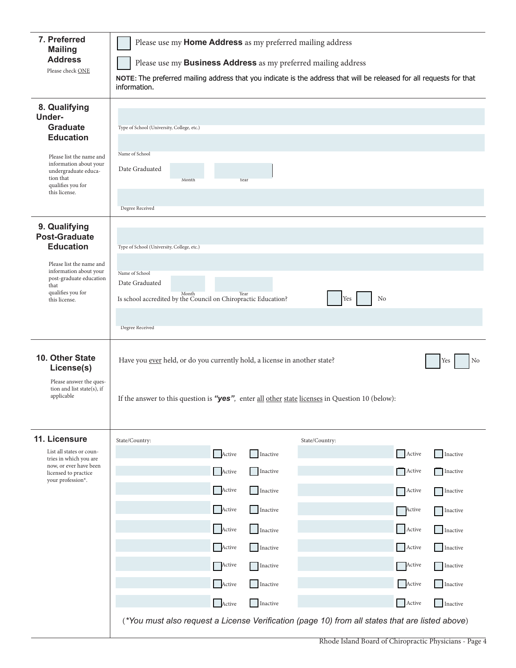| 7. Preferred                                                        | Please use my Home Address as my preferred mailing address                                                           |                                                                                                 |  |  |  |  |  |
|---------------------------------------------------------------------|----------------------------------------------------------------------------------------------------------------------|-------------------------------------------------------------------------------------------------|--|--|--|--|--|
| <b>Mailing</b><br><b>Address</b>                                    | Please use my <b>Business Address</b> as my preferred mailing address                                                |                                                                                                 |  |  |  |  |  |
| Please check ONE                                                    | NOTE: The preferred mailing address that you indicate is the address that will be released for all requests for that |                                                                                                 |  |  |  |  |  |
|                                                                     | information.                                                                                                         |                                                                                                 |  |  |  |  |  |
| 8. Qualifying                                                       |                                                                                                                      |                                                                                                 |  |  |  |  |  |
| Under-<br><b>Graduate</b>                                           | Type of School (University, College, etc.)                                                                           |                                                                                                 |  |  |  |  |  |
| <b>Education</b>                                                    |                                                                                                                      |                                                                                                 |  |  |  |  |  |
| Please list the name and<br>information about your                  | Name of School                                                                                                       |                                                                                                 |  |  |  |  |  |
| undergraduate educa-<br>tion that                                   | Date Graduated<br>Month<br>Year                                                                                      |                                                                                                 |  |  |  |  |  |
| qualifies you for<br>this license.                                  |                                                                                                                      |                                                                                                 |  |  |  |  |  |
|                                                                     | Degree Received                                                                                                      |                                                                                                 |  |  |  |  |  |
| 9. Qualifying                                                       |                                                                                                                      |                                                                                                 |  |  |  |  |  |
| <b>Post-Graduate</b><br><b>Education</b>                            | Type of School (University, College, etc.)                                                                           |                                                                                                 |  |  |  |  |  |
| Please list the name and                                            |                                                                                                                      |                                                                                                 |  |  |  |  |  |
| information about your<br>post-graduate education<br>that           | Name of School<br>Date Graduated                                                                                     |                                                                                                 |  |  |  |  |  |
| qualifies you for<br>this license.                                  | Month<br>Year<br>Is school accredited by the Council on Chiropractic Education?                                      | No<br>Yes                                                                                       |  |  |  |  |  |
|                                                                     |                                                                                                                      |                                                                                                 |  |  |  |  |  |
|                                                                     | Degree Received                                                                                                      |                                                                                                 |  |  |  |  |  |
| 10. Other State<br>License(s)                                       | Have you ever held, or do you currently hold, a license in another state?                                            | No<br>Yes                                                                                       |  |  |  |  |  |
| Please answer the ques-<br>tion and list state(s), if<br>applicable | If the answer to this question is "yes", enter all other state licenses in Question 10 (below):                      |                                                                                                 |  |  |  |  |  |
| 11. Licensure                                                       | State/Country:                                                                                                       | State/Country:                                                                                  |  |  |  |  |  |
| List all states or coun-<br>tries in which you are                  | Active<br>Inactive                                                                                                   | Active<br>Inactive                                                                              |  |  |  |  |  |
| now, or ever have been<br>licensed to practice<br>your profession*. | Active<br>Inactive                                                                                                   | Active<br>Inactive                                                                              |  |  |  |  |  |
|                                                                     | Active<br>Inactive                                                                                                   | Active<br>Inactive                                                                              |  |  |  |  |  |
|                                                                     | Active<br>Inactive                                                                                                   | Active<br>Inactive                                                                              |  |  |  |  |  |
|                                                                     | Active<br>Inactive                                                                                                   | Active<br>Inactive                                                                              |  |  |  |  |  |
|                                                                     | Active<br>Inactive                                                                                                   | Active<br>Inactive                                                                              |  |  |  |  |  |
|                                                                     | Active<br>Inactive                                                                                                   | Active<br>Inactive                                                                              |  |  |  |  |  |
|                                                                     | Active<br>Inactive                                                                                                   | Active<br>Inactive                                                                              |  |  |  |  |  |
|                                                                     | Active<br>Inactive                                                                                                   | Active<br>Inactive                                                                              |  |  |  |  |  |
|                                                                     |                                                                                                                      | (*You must also request a License Verification (page 10) from all states that are listed above) |  |  |  |  |  |
|                                                                     |                                                                                                                      |                                                                                                 |  |  |  |  |  |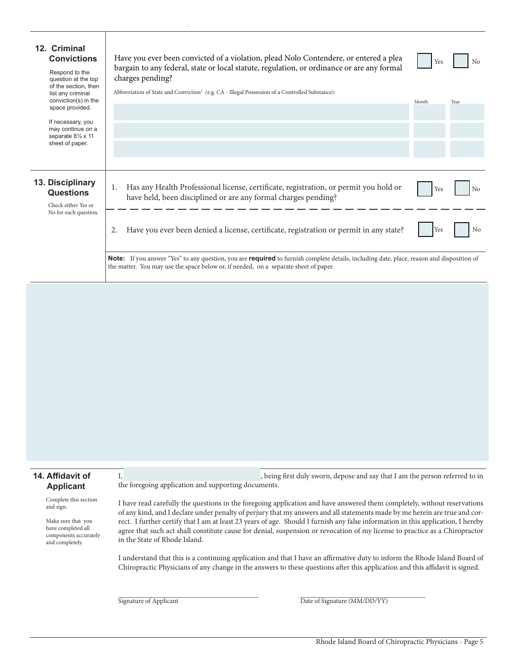| 12. Criminal<br><b>Convictions</b><br>Respond to the<br>question at the top<br>of the section, then<br>list any criminal<br>conviction(s) in the<br>space provided.<br>If necessary, you<br>may continue on a<br>separate $8\frac{1}{2} \times 11$<br>sheet of paper. | Have you ever been convicted of a violation, plead Nolo Contendere, or entered a plea<br>bargain to any federal, state or local statute, regulation, or ordinance or are any formal<br>charges pending?<br>Abbreviation of State and Conviction <sup>1</sup> (e.g. CA - Illegal Possession of a Controlled Substance): | Yes<br>Month | No<br>Year     |  |  |  |  |
|-----------------------------------------------------------------------------------------------------------------------------------------------------------------------------------------------------------------------------------------------------------------------|------------------------------------------------------------------------------------------------------------------------------------------------------------------------------------------------------------------------------------------------------------------------------------------------------------------------|--------------|----------------|--|--|--|--|
|                                                                                                                                                                                                                                                                       |                                                                                                                                                                                                                                                                                                                        |              |                |  |  |  |  |
| 13. Disciplinary<br><b>Questions</b><br>Check either Yes or<br>No for each question.                                                                                                                                                                                  | Has any Health Professional license, certificate, registration, or permit you hold or<br>1.<br>have held, been disciplined or are any formal charges pending?                                                                                                                                                          | Yes          | N <sub>0</sub> |  |  |  |  |
|                                                                                                                                                                                                                                                                       | Have you ever been denied a license, certificate, registration or permit in any state?<br><b>Note:</b> If you answer "Yes" to any question, you are <b>required</b> to furnish complete details, including date, place, reason and disposition of                                                                      | Yes          | No             |  |  |  |  |
|                                                                                                                                                                                                                                                                       | the matter. You may use the space below or, if needed, on a separate sheet of paper.                                                                                                                                                                                                                                   |              |                |  |  |  |  |

### **14. Affidavit of Applicant**

Complete this section and sign.

Make sure that you have completed all components accurately and completely.

I, the contract of the set of the set of the set of the set of the set of the person referred to in the foregoing application and supporting documents.

I have read carefully the questions in the foregoing application and have answered them completely, without reservations of any kind, and I declare under penalty of perjury that my answers and all statements made by me herein are true and correct. I further certify that I am at least 23 years of age. Should I furnish any false information in this application, I hereby agree that such act shall constitute cause for denial, suspension or revocation of my license to practice as a Chiropractor in the State of Rhode Island.

I understand that this is a continuing application and that I have an affirmative duty to inform the Rhode Island Board of Chiropractic Physicians of any change in the answers to these questions after this application and this affidavit is signed.

Signature of Applicant  $\overline{Date\ of\ Signature\ (MM/DD/YY)}$